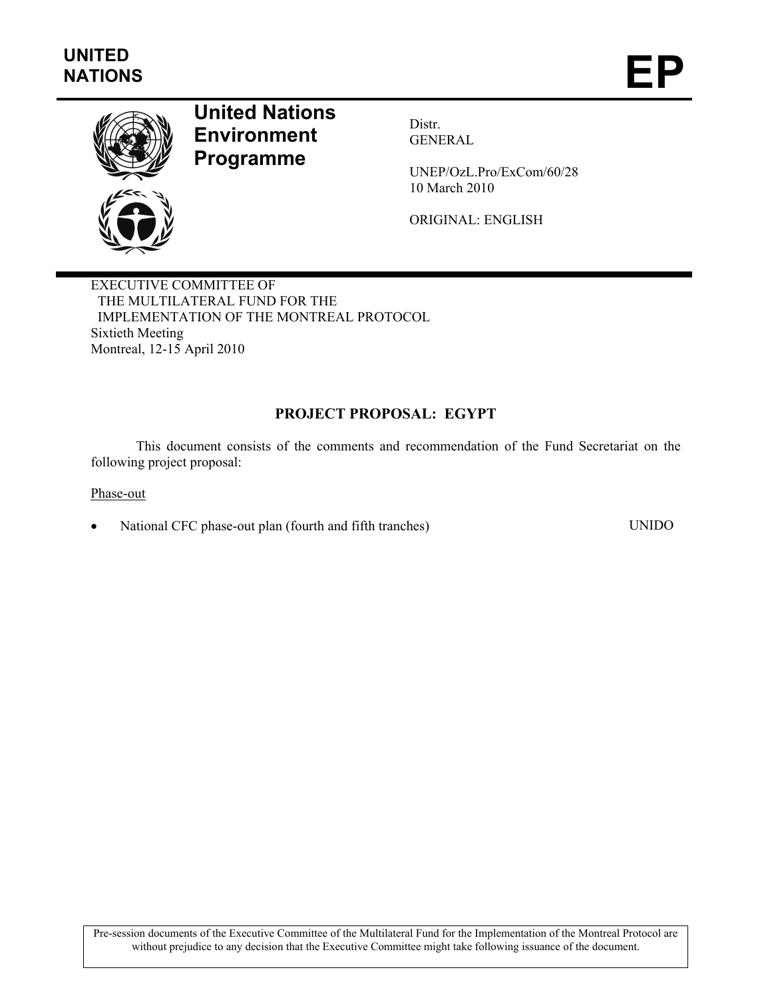

# **United Nations Environment Programme**

Distr. GENERAL

UNEP/OzL.Pro/ExCom/60/28 10 March 2010

ORIGINAL: ENGLISH

EXECUTIVE COMMITTEE OF THE MULTILATERAL FUND FOR THE IMPLEMENTATION OF THE MONTREAL PROTOCOL Sixtieth Meeting Montreal, 12-15 April 2010

# **PROJECT PROPOSAL: EGYPT**

This document consists of the comments and recommendation of the Fund Secretariat on the following project proposal:

Phase-out

• National CFC phase-out plan (fourth and fifth tranches) UNIDO

Pre-session documents of the Executive Committee of the Multilateral Fund for the Implementation of the Montreal Protocol are without prejudice to any decision that the Executive Committee might take following issuance of the document.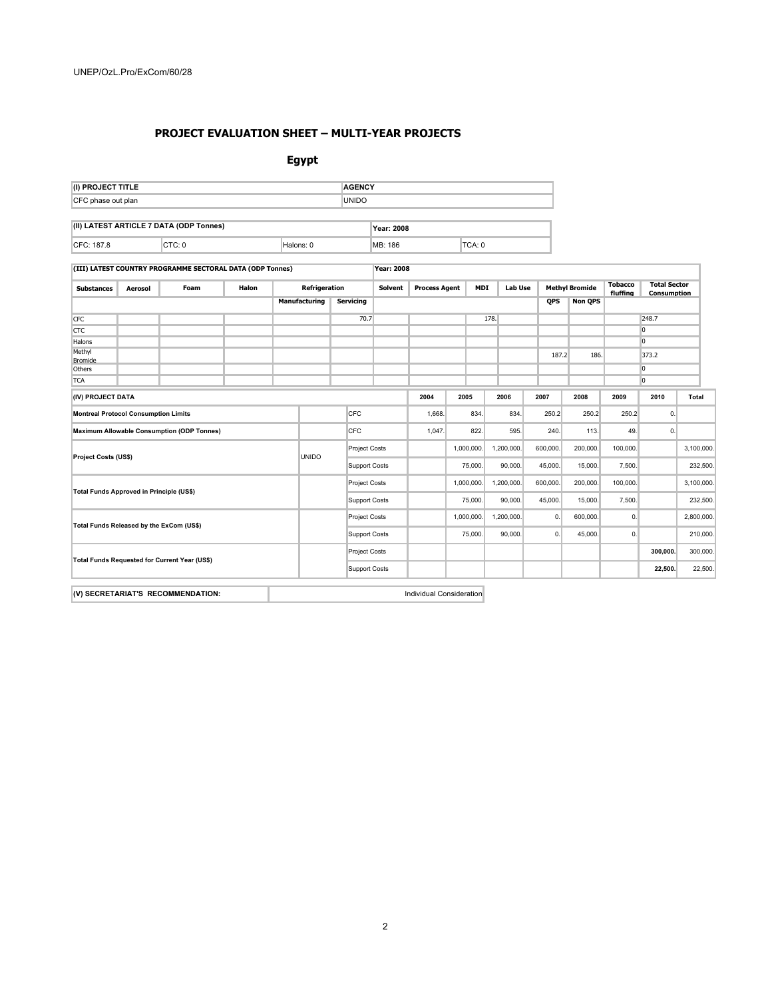#### **PROJECT EVALUATION SHEET – MULTI-YEAR PROJECTS**

#### **Egypt**

| (I) PROJECT TITLE                  |                                         | <b>AGENCY</b> |            |         |        |  |  |  |
|------------------------------------|-----------------------------------------|---------------|------------|---------|--------|--|--|--|
| <b>UNIDO</b><br>CFC phase out plan |                                         |               |            |         |        |  |  |  |
|                                    |                                         |               |            |         |        |  |  |  |
|                                    | (II) LATEST ARTICLE 7 DATA (ODP Tonnes) |               | Year: 2008 |         |        |  |  |  |
| CFC: 187.8                         | CTC: 0                                  | Halons: 0     |            | MB: 186 | TCA: 0 |  |  |  |

| (III) LATEST COUNTRY PROGRAMME SECTORAL DATA (ODP Tonnes) |         |      |       |                      | Year: 2008           |                      |                          |         |                      |            |          |                |          |                       |            |                                           |       |
|-----------------------------------------------------------|---------|------|-------|----------------------|----------------------|----------------------|--------------------------|---------|----------------------|------------|----------|----------------|----------|-----------------------|------------|-------------------------------------------|-------|
| <b>Substances</b>                                         | Aerosol | Foam | Halon | <b>Refrigeration</b> |                      |                      |                          | Solvent | <b>Process Agent</b> |            | MDI      | <b>Lab Use</b> |          | <b>Methyl Bromide</b> |            | <b>Total Sector</b><br><b>Consumption</b> |       |
|                                                           |         |      |       |                      | Manufacturing        | Servicing            |                          |         |                      |            |          |                | QPS      | <b>Non QPS</b>        |            |                                           |       |
| <b>CFC</b>                                                |         |      |       |                      | 70.7                 |                      |                          |         |                      | 178.       |          |                |          |                       |            | 248.7                                     |       |
| <b>CTC</b>                                                |         |      |       |                      |                      |                      |                          |         |                      |            |          |                |          |                       |            | 0                                         |       |
| Halons                                                    |         |      |       |                      |                      |                      |                          |         |                      |            |          |                |          |                       |            | lo.                                       |       |
| Methyl<br><b>Bromide</b>                                  |         |      |       |                      |                      |                      |                          |         |                      |            |          |                | 187.2    | 186.                  |            | 373.2                                     |       |
| Others                                                    |         |      |       |                      |                      |                      |                          |         |                      |            |          |                |          |                       |            | 0                                         |       |
| <b>TCA</b>                                                |         |      |       |                      |                      |                      |                          |         |                      |            |          |                |          |                       |            | <sup>0</sup>                              |       |
| (IV) PROJECT DATA                                         |         |      |       |                      |                      |                      |                          |         | 2004                 | 2005       |          | 2006           | 2007     | 2008                  | 2009       | 2010                                      | Total |
| <b>Montreal Protocol Consumption Limits</b>               |         |      |       |                      |                      | CFC                  |                          |         | 1,668.               |            | 834.     | 834.           | 250.2    | 250.2                 | 250.2      | $\mathbf{0}$ .                            |       |
| <b>Maximum Allowable Consumption (ODP Tonnes)</b>         |         |      |       | CFC                  |                      | 1,047.               |                          | 822.    | 595.                 | 240.       | 113.     | 49.            | 0.       |                       |            |                                           |       |
| <b>Project Costs (US\$)</b>                               |         |      | UNIDO |                      | <b>Project Costs</b> |                      |                          |         | 1,000,000.           | 1,200,000. | 600,000. | 200,000.       | 100,000. |                       | 3,100,000. |                                           |       |
|                                                           |         |      |       |                      |                      | <b>Support Costs</b> |                          |         |                      | 75,000.    | 90,000.  | 45,000.        | 15,000.  | 7,500.                |            | 232,500.                                  |       |
| Total Funds Approved in Principle (US\$)                  |         |      |       |                      | <b>Project Costs</b> |                      |                          |         | 1,000,000.           | 1,200,000. | 600,000. | 200,000.       | 100,000. |                       | 3,100,000. |                                           |       |
|                                                           |         |      |       |                      | Support Costs        |                      |                          |         | 75,000.              | 90,000.    | 45,000.  | 15,000.        | 7,500.   |                       | 232,500.   |                                           |       |
| Total Funds Released by the ExCom (US\$)                  |         |      |       |                      | <b>Project Costs</b> |                      |                          |         | 1,000,000.           | 1,200,000. | 0.       | 600,000.       | 0.       |                       | 2,800,000. |                                           |       |
|                                                           |         |      |       |                      | Support Costs        |                      |                          |         | 75,000.              | 90,000.    | 0.       | 45,000.        | 0.       |                       | 210,000.   |                                           |       |
| Total Funds Requested for Current Year (US\$)             |         |      |       |                      | <b>Project Costs</b> |                      |                          |         |                      |            |          |                |          | 300,000.              | 300,000.   |                                           |       |
|                                                           |         |      |       |                      | <b>Support Costs</b> |                      |                          |         |                      |            |          |                |          | 22,500.               | 22,500.    |                                           |       |
|                                                           |         |      |       |                      |                      |                      |                          |         |                      |            |          |                |          |                       |            |                                           |       |
| (V) SECRETARIAT'S RECOMMENDATION:                         |         |      |       |                      |                      |                      | Individual Consideration |         |                      |            |          |                |          |                       |            |                                           |       |

2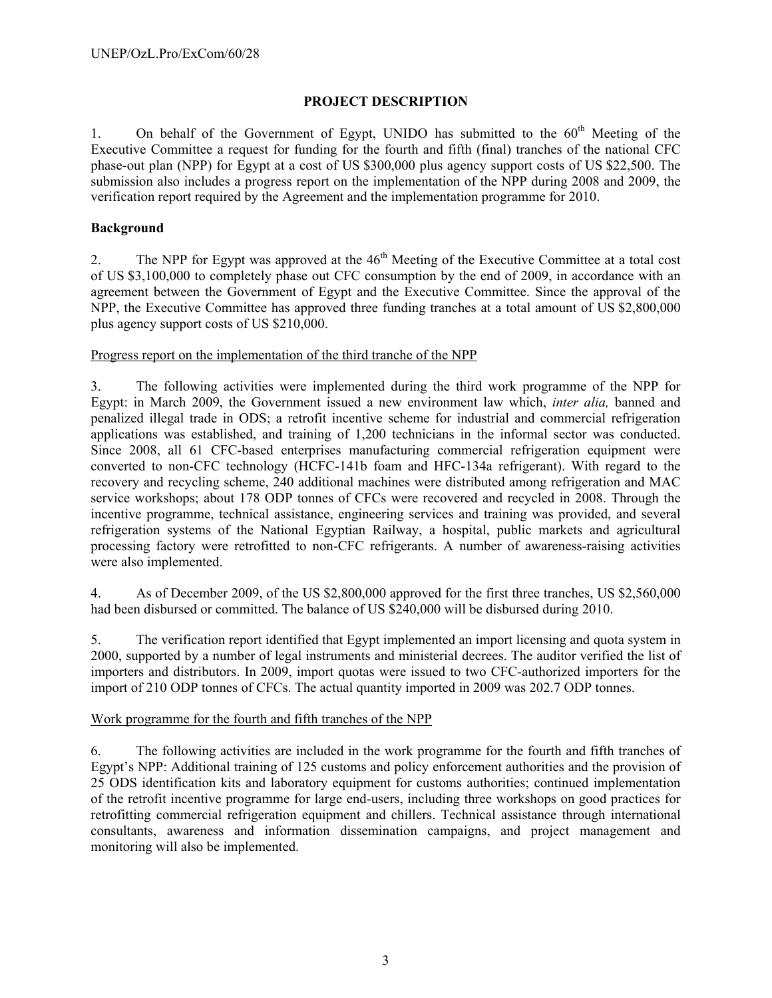## **PROJECT DESCRIPTION**

1. On behalf of the Government of Egypt, UNIDO has submitted to the  $60<sup>th</sup>$  Meeting of the Executive Committee a request for funding for the fourth and fifth (final) tranches of the national CFC phase-out plan (NPP) for Egypt at a cost of US \$300,000 plus agency support costs of US \$22,500. The submission also includes a progress report on the implementation of the NPP during 2008 and 2009, the verification report required by the Agreement and the implementation programme for 2010.

## **Background**

2. The NPP for Egypt was approved at the 46<sup>th</sup> Meeting of the Executive Committee at a total cost of US \$3,100,000 to completely phase out CFC consumption by the end of 2009, in accordance with an agreement between the Government of Egypt and the Executive Committee. Since the approval of the NPP, the Executive Committee has approved three funding tranches at a total amount of US \$2,800,000 plus agency support costs of US \$210,000.

#### Progress report on the implementation of the third tranche of the NPP

3. The following activities were implemented during the third work programme of the NPP for Egypt: in March 2009, the Government issued a new environment law which, *inter alia,* banned and penalized illegal trade in ODS; a retrofit incentive scheme for industrial and commercial refrigeration applications was established, and training of 1,200 technicians in the informal sector was conducted. Since 2008, all 61 CFC-based enterprises manufacturing commercial refrigeration equipment were converted to non-CFC technology (HCFC-141b foam and HFC-134a refrigerant). With regard to the recovery and recycling scheme, 240 additional machines were distributed among refrigeration and MAC service workshops; about 178 ODP tonnes of CFCs were recovered and recycled in 2008. Through the incentive programme, technical assistance, engineering services and training was provided, and several refrigeration systems of the National Egyptian Railway, a hospital, public markets and agricultural processing factory were retrofitted to non-CFC refrigerants. A number of awareness-raising activities were also implemented.

4. As of December 2009, of the US \$2,800,000 approved for the first three tranches, US \$2,560,000 had been disbursed or committed. The balance of US \$240,000 will be disbursed during 2010.

5. The verification report identified that Egypt implemented an import licensing and quota system in 2000, supported by a number of legal instruments and ministerial decrees. The auditor verified the list of importers and distributors. In 2009, import quotas were issued to two CFC-authorized importers for the import of 210 ODP tonnes of CFCs. The actual quantity imported in 2009 was 202.7 ODP tonnes.

#### Work programme for the fourth and fifth tranches of the NPP

6. The following activities are included in the work programme for the fourth and fifth tranches of Egypt's NPP: Additional training of 125 customs and policy enforcement authorities and the provision of 25 ODS identification kits and laboratory equipment for customs authorities; continued implementation of the retrofit incentive programme for large end-users, including three workshops on good practices for retrofitting commercial refrigeration equipment and chillers. Technical assistance through international consultants, awareness and information dissemination campaigns, and project management and monitoring will also be implemented.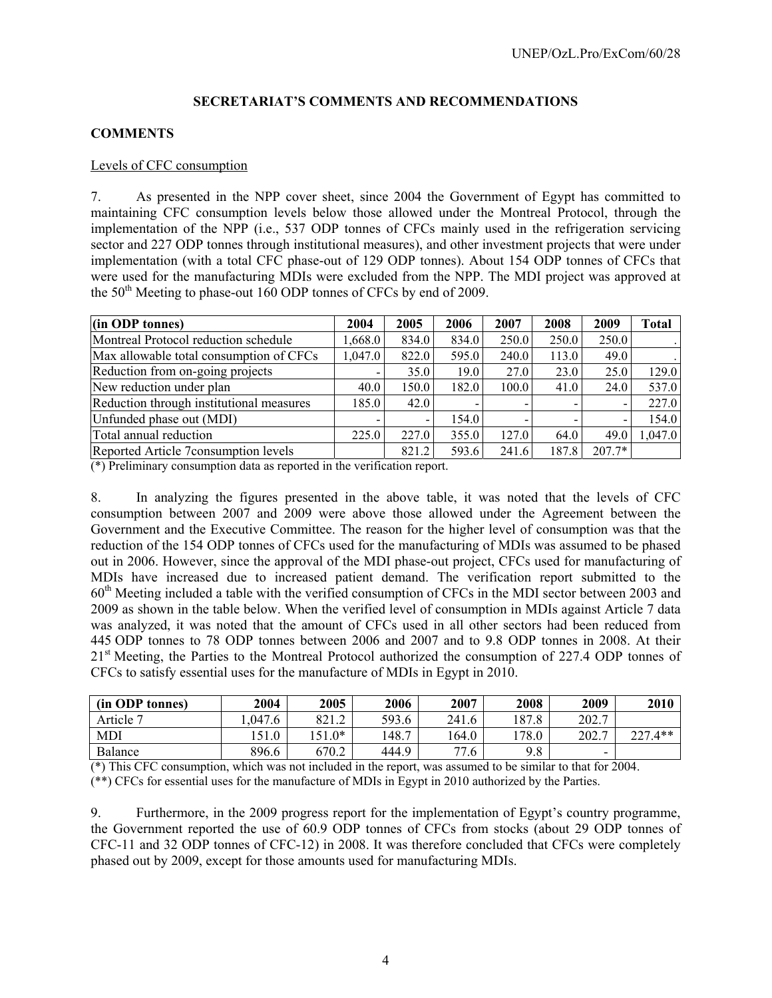## **SECRETARIAT'S COMMENTS AND RECOMMENDATIONS**

## **COMMENTS**

## Levels of CFC consumption

7. As presented in the NPP cover sheet, since 2004 the Government of Egypt has committed to maintaining CFC consumption levels below those allowed under the Montreal Protocol, through the implementation of the NPP (i.e., 537 ODP tonnes of CFCs mainly used in the refrigeration servicing sector and 227 ODP tonnes through institutional measures), and other investment projects that were under implementation (with a total CFC phase-out of 129 ODP tonnes). About 154 ODP tonnes of CFCs that were used for the manufacturing MDIs were excluded from the NPP. The MDI project was approved at the 50<sup>th</sup> Meeting to phase-out 160 ODP tonnes of CFCs by end of 2009.

| (in ODP tonnes)                          | 2004    | 2005                         | 2006  | 2007  | 2008  | 2009                     | Total   |
|------------------------------------------|---------|------------------------------|-------|-------|-------|--------------------------|---------|
| Montreal Protocol reduction schedule     |         | 834.0                        | 834.0 | 250.0 | 250.0 | 250.0                    |         |
| Max allowable total consumption of CFCs  | 1,047.0 | 822.0                        | 595.0 | 240.0 | 113.0 | 49.0                     |         |
| Reduction from on-going projects         | -       | 35.0                         | 19.0  | 27.0  | 23.0  | 25.0                     | 129.0   |
| New reduction under plan                 | 40.0    | 150.0                        | 182.0 | 100.0 | 41.0  | 24.0                     | 537.0   |
| Reduction through institutional measures | 185.0   | 42.0                         |       |       |       | $\overline{\phantom{0}}$ | 227.0   |
| Unfunded phase out (MDI)                 |         | $\qquad \qquad \blacksquare$ | 154.0 |       |       | -                        | 154.0   |
| Total annual reduction                   | 225.0   | 227.0                        | 355.0 | 127.0 | 64.0  | 49.0                     | 1,047.0 |
| Reported Article 7 consumption levels    |         | 821.2                        | 593.6 | 241.6 | 187.8 | $207.7*$                 |         |

(\*) Preliminary consumption data as reported in the verification report.

8. In analyzing the figures presented in the above table, it was noted that the levels of CFC consumption between 2007 and 2009 were above those allowed under the Agreement between the Government and the Executive Committee. The reason for the higher level of consumption was that the reduction of the 154 ODP tonnes of CFCs used for the manufacturing of MDIs was assumed to be phased out in 2006. However, since the approval of the MDI phase-out project, CFCs used for manufacturing of MDIs have increased due to increased patient demand. The verification report submitted to the 60th Meeting included a table with the verified consumption of CFCs in the MDI sector between 2003 and 2009 as shown in the table below. When the verified level of consumption in MDIs against Article 7 data was analyzed, it was noted that the amount of CFCs used in all other sectors had been reduced from 445 ODP tonnes to 78 ODP tonnes between 2006 and 2007 and to 9.8 ODP tonnes in 2008. At their 21<sup>st</sup> Meeting, the Parties to the Montreal Protocol authorized the consumption of 227.4 ODP tonnes of CFCs to satisfy essential uses for the manufacture of MDIs in Egypt in 2010.

| (in ODP tonnes) | 2004   | 2005     | 2006  | 2007  | 2008  | 2009  | 2010      |
|-----------------|--------|----------|-------|-------|-------|-------|-----------|
| Article 7       | .047.6 | 821.2    | 593.6 | 241.6 | 187.8 | 202.7 |           |
| <b>MDI</b>      | 151.0  | $151.0*$ | 148.7 | 164.0 | 178.0 | 202.7 | $227.4**$ |
| Balance         | 896.6  | 670.2    | 444.9 | 77.6  | 9.8   | -     |           |

(\*) This CFC consumption, which was not included in the report, was assumed to be similar to that for 2004. (\*\*) CFCs for essential uses for the manufacture of MDIs in Egypt in 2010 authorized by the Parties.

9. Furthermore, in the 2009 progress report for the implementation of Egypt's country programme, the Government reported the use of 60.9 ODP tonnes of CFCs from stocks (about 29 ODP tonnes of CFC-11 and 32 ODP tonnes of CFC-12) in 2008. It was therefore concluded that CFCs were completely phased out by 2009, except for those amounts used for manufacturing MDIs.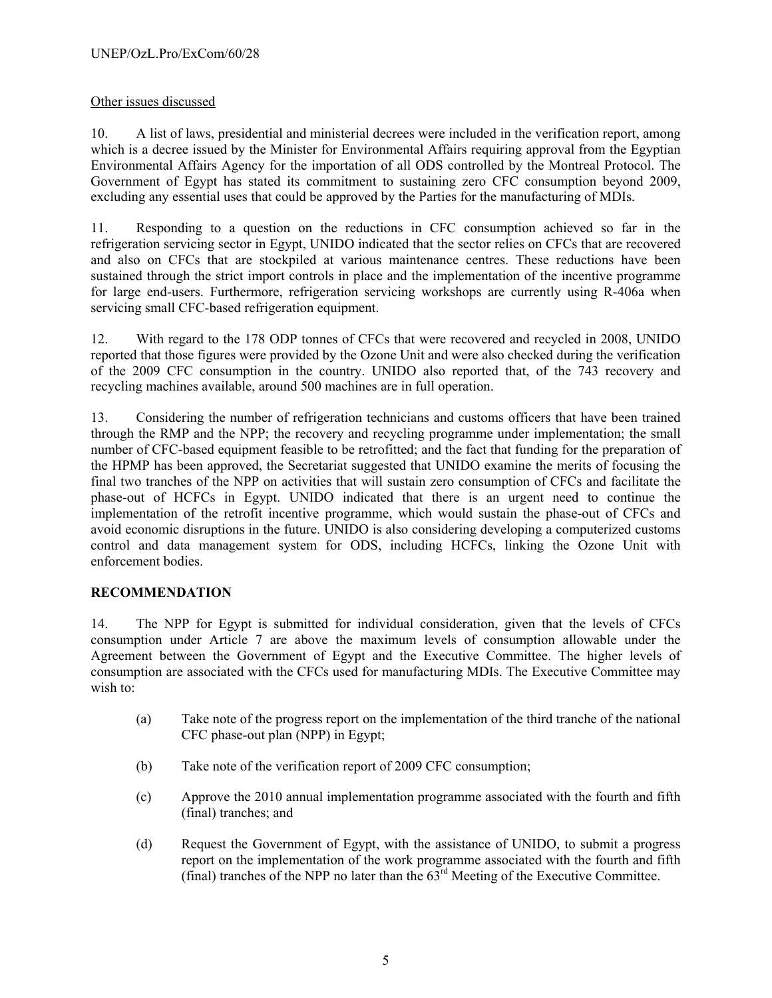## Other issues discussed

10. A list of laws, presidential and ministerial decrees were included in the verification report, among which is a decree issued by the Minister for Environmental Affairs requiring approval from the Egyptian Environmental Affairs Agency for the importation of all ODS controlled by the Montreal Protocol. The Government of Egypt has stated its commitment to sustaining zero CFC consumption beyond 2009, excluding any essential uses that could be approved by the Parties for the manufacturing of MDIs.

11. Responding to a question on the reductions in CFC consumption achieved so far in the refrigeration servicing sector in Egypt, UNIDO indicated that the sector relies on CFCs that are recovered and also on CFCs that are stockpiled at various maintenance centres. These reductions have been sustained through the strict import controls in place and the implementation of the incentive programme for large end-users. Furthermore, refrigeration servicing workshops are currently using R-406a when servicing small CFC-based refrigeration equipment.

12. With regard to the 178 ODP tonnes of CFCs that were recovered and recycled in 2008, UNIDO reported that those figures were provided by the Ozone Unit and were also checked during the verification of the 2009 CFC consumption in the country. UNIDO also reported that, of the 743 recovery and recycling machines available, around 500 machines are in full operation.

13. Considering the number of refrigeration technicians and customs officers that have been trained through the RMP and the NPP; the recovery and recycling programme under implementation; the small number of CFC-based equipment feasible to be retrofitted; and the fact that funding for the preparation of the HPMP has been approved, the Secretariat suggested that UNIDO examine the merits of focusing the final two tranches of the NPP on activities that will sustain zero consumption of CFCs and facilitate the phase-out of HCFCs in Egypt. UNIDO indicated that there is an urgent need to continue the implementation of the retrofit incentive programme, which would sustain the phase-out of CFCs and avoid economic disruptions in the future. UNIDO is also considering developing a computerized customs control and data management system for ODS, including HCFCs, linking the Ozone Unit with enforcement bodies.

## **RECOMMENDATION**

14. The NPP for Egypt is submitted for individual consideration, given that the levels of CFCs consumption under Article 7 are above the maximum levels of consumption allowable under the Agreement between the Government of Egypt and the Executive Committee. The higher levels of consumption are associated with the CFCs used for manufacturing MDIs. The Executive Committee may wish to:

- (a) Take note of the progress report on the implementation of the third tranche of the national CFC phase-out plan (NPP) in Egypt;
- (b) Take note of the verification report of 2009 CFC consumption;
- (c) Approve the 2010 annual implementation programme associated with the fourth and fifth (final) tranches; and
- (d) Request the Government of Egypt, with the assistance of UNIDO, to submit a progress report on the implementation of the work programme associated with the fourth and fifth  $(final)$  tranches of the NPP no later than the  $63<sup>rd</sup>$  Meeting of the Executive Committee.